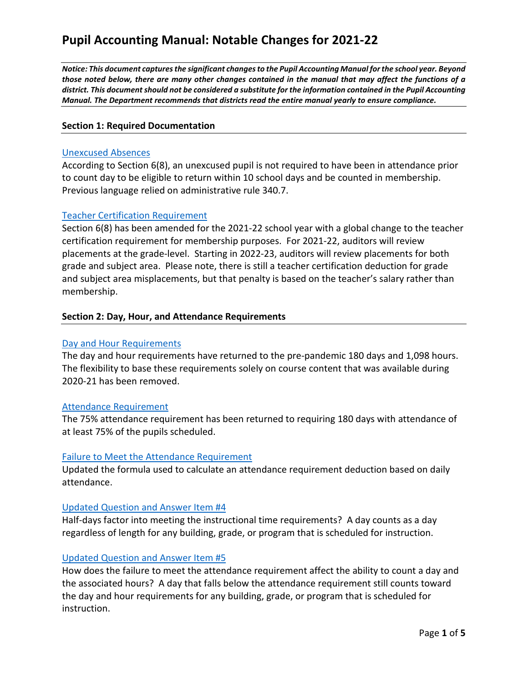*Notice: This document captures the significant changes to the Pupil Accounting Manual for the school year. Beyond those noted below, there are many other changes contained in the manual that may affect the functions of a district. This document should not be considered a substitute for the information contained in the Pupil Accounting Manual. The Department recommends that districts read the entire manual yearly to ensure compliance.* 

## **Section 1: Required Documentation**

#### [Unexcused Absences](https://www.michigan.gov/documents/mde/_____2021_22_Pupil_Accounting_Manual_735936_7.pdf#page=9)

According to Section 6(8), an unexcused pupil is not required to have been in attendance prior to count day to be eligible to return within 10 school days and be counted in membership. Previous language relied on administrative rule 340.7.

## [Teacher Certification Requirement](https://www.michigan.gov/documents/mde/_____2021_22_Pupil_Accounting_Manual_735936_7.pdf#page=9)

Section 6(8) has been amended for the 2021-22 school year with a global change to the teacher certification requirement for membership purposes. For 2021-22, auditors will review placements at the grade-level. Starting in 2022-23, auditors will review placements for both grade and subject area. Please note, there is still a teacher certification deduction for grade and subject area misplacements, but that penalty is based on the teacher's salary rather than membership.

#### **Section 2: Day, Hour, and Attendance Requirements**

#### [Day and Hour Requirements](https://www.michigan.gov/documents/mde/_____2021_22_Pupil_Accounting_Manual_735936_7.pdf#page=15)

The day and hour requirements have returned to the pre-pandemic 180 days and 1,098 hours. The flexibility to base these requirements solely on course content that was available during 2020-21 has been removed.

#### [Attendance Requirement](https://www.michigan.gov/documents/mde/_____2021_22_Pupil_Accounting_Manual_735936_7.pdf#page=17)

The 75% attendance requirement has been returned to requiring 180 days with attendance of at least 75% of the pupils scheduled.

#### [Failure to Meet the Attendance Requirement](https://www.michigan.gov/documents/mde/_____2021_22_Pupil_Accounting_Manual_735936_7.pdf#page=25)

Updated the formula used to calculate an attendance requirement deduction based on daily attendance.

#### [Updated Question and Answer Item #4](https://www.michigan.gov/documents/mde/_____2021_22_Pupil_Accounting_Manual_735936_7.pdf#page=28)

Half-days factor into meeting the instructional time requirements? A day counts as a day regardless of length for any building, grade, or program that is scheduled for instruction.

#### [Updated Question and Answer Item #5](https://www.michigan.gov/documents/mde/_____2021_22_Pupil_Accounting_Manual_735936_7.pdf#page=28)

How does the failure to meet the attendance requirement affect the ability to count a day and the associated hours? A day that falls below the attendance requirement still counts toward the day and hour requirements for any building, grade, or program that is scheduled for instruction.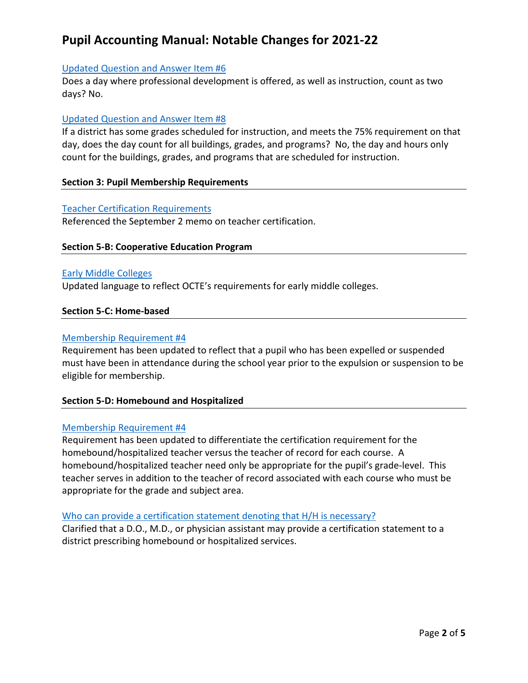# [Updated Question and Answer Item #6](https://www.michigan.gov/documents/mde/_____2021_22_Pupil_Accounting_Manual_735936_7.pdf#page=28)

Does a day where professional development is offered, as well as instruction, count as two days? No.

# [Updated Question and Answer Item #8](https://www.michigan.gov/documents/mde/_____2021_22_Pupil_Accounting_Manual_735936_7.pdf#page=28)

If a district has some grades scheduled for instruction, and meets the 75% requirement on that day, does the day count for all buildings, grades, and programs? No, the day and hours only count for the buildings, grades, and programs that are scheduled for instruction.

# **Section 3: Pupil Membership Requirements**

## [Teacher Certification Requirements](https://www.michigan.gov/documents/mde/_____2021_22_Pupil_Accounting_Manual_735936_7.pdf#page=36)

Referenced the September 2 memo on teacher certification.

# **Section 5-B: Cooperative Education Program**

# [Early Middle Colleges](https://www.michigan.gov/documents/mde/_____2021_22_Pupil_Accounting_Manual_735936_7.pdf#page=60)

Updated language to reflect OCTE's requirements for early middle colleges.

## **Section 5-C: Home-based**

## [Membership Requirement #4](https://www.michigan.gov/documents/mde/_____2021_22_Pupil_Accounting_Manual_735936_7.pdf#page=65)

Requirement has been updated to reflect that a pupil who has been expelled or suspended must have been in attendance during the school year prior to the expulsion or suspension to be eligible for membership.

# **Section 5-D: Homebound and Hospitalized**

#### [Membership Requirement #4](https://www.michigan.gov/documents/mde/_____2021_22_Pupil_Accounting_Manual_735936_7.pdf#page=69)

Requirement has been updated to differentiate the certification requirement for the homebound/hospitalized teacher versus the teacher of record for each course. A homebound/hospitalized teacher need only be appropriate for the pupil's grade-level. This teacher serves in addition to the teacher of record associated with each course who must be appropriate for the grade and subject area.

#### [Who can provide a certification statement denoting that H/H is necessary?](https://www.michigan.gov/documents/mde/_____2021_22_Pupil_Accounting_Manual_735936_7.pdf#page=70)

Clarified that a D.O., M.D., or physician assistant may provide a certification statement to a district prescribing homebound or hospitalized services.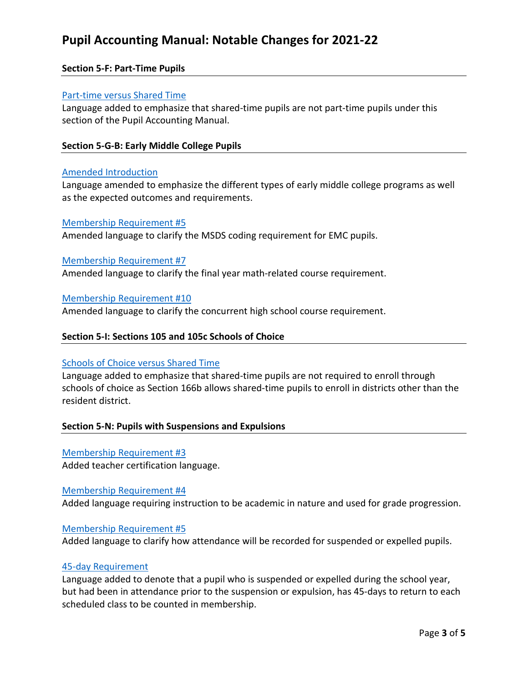## **Section 5-F: Part-Time Pupils**

## [Part-time versus Shared Time](https://www.michigan.gov/documents/mde/_____2021_22_Pupil_Accounting_Manual_735936_7.pdf#page=82)

Language added to emphasize that shared-time pupils are not part-time pupils under this section of the Pupil Accounting Manual.

#### **Section 5-G-B: Early Middle College Pupils**

#### [Amended Introduction](https://www.michigan.gov/documents/mde/_____2021_22_Pupil_Accounting_Manual_735936_7.pdf#page=90)

Language amended to emphasize the different types of early middle college programs as well as the expected outcomes and requirements.

#### [Membership Requirement #5](https://www.michigan.gov/documents/mde/_____2021_22_Pupil_Accounting_Manual_735936_7.pdf#page=90)

Amended language to clarify the MSDS coding requirement for EMC pupils.

#### [Membership Requirement #7](https://www.michigan.gov/documents/mde/_____2021_22_Pupil_Accounting_Manual_735936_7.pdf#page=90)

Amended language to clarify the final year math-related course requirement.

#### [Membership Requirement #10](https://www.michigan.gov/documents/mde/_____2021_22_Pupil_Accounting_Manual_735936_7.pdf#page=90)

Amended language to clarify the concurrent high school course requirement.

#### **Section 5-I: Sections 105 and 105c Schools of Choice**

## Schools of Choice [versus Shared Time](https://www.michigan.gov/documents/mde/_____2021_22_Pupil_Accounting_Manual_735936_7.pdf#page=99)

Language added to emphasize that shared-time pupils are not required to enroll through schools of choice as Section 166b allows shared-time pupils to enroll in districts other than the resident district.

#### **Section 5-N: Pupils with Suspensions and Expulsions**

#### [Membership Requirement #3](https://www.michigan.gov/documents/mde/_____2021_22_Pupil_Accounting_Manual_735936_7.pdf#page=116)

Added teacher certification language.

#### [Membership Requirement #4](https://www.michigan.gov/documents/mde/_____2021_22_Pupil_Accounting_Manual_735936_7.pdf#page=116)

Added language requiring instruction to be academic in nature and used for grade progression.

#### [Membership Requirement #5](https://www.michigan.gov/documents/mde/_____2021_22_Pupil_Accounting_Manual_735936_7.pdf#page=116)

Added language to clarify how attendance will be recorded for suspended or expelled pupils.

#### [45-day Requirement](https://www.michigan.gov/documents/mde/_____2021_22_Pupil_Accounting_Manual_735936_7.pdf#page=117)

Language added to denote that a pupil who is suspended or expelled during the school year, but had been in attendance prior to the suspension or expulsion, has 45-days to return to each scheduled class to be counted in membership.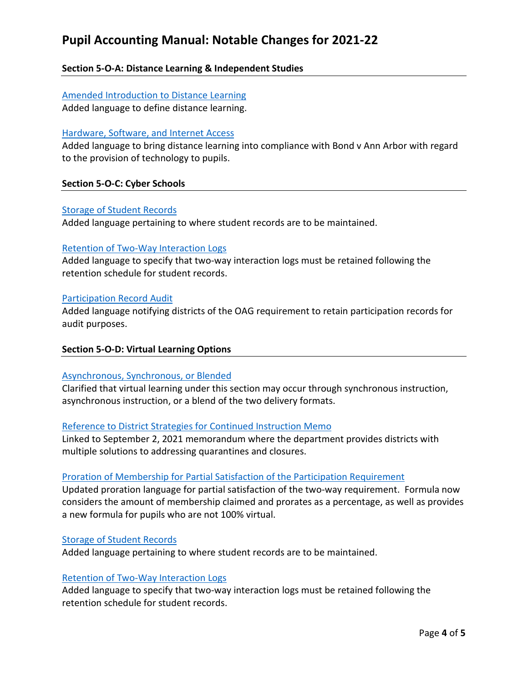# **Section 5-O-A: Distance Learning & Independent Studies**

# [Amended Introduction to Distance Learning](https://www.michigan.gov/documents/mde/_____2021_22_Pupil_Accounting_Manual_735936_7.pdf#page=122) Added language to define distance learning.

## [Hardware, Software, and Internet Access](https://www.michigan.gov/documents/mde/_____2021_22_Pupil_Accounting_Manual_735936_7.pdf#page=122)

Added language to bring distance learning into compliance with Bond v Ann Arbor with regard to the provision of technology to pupils.

## **Section 5-O-C: Cyber Schools**

## [Storage of Student Records](https://www.michigan.gov/documents/mde/_____2021_22_Pupil_Accounting_Manual_735936_7.pdf#page=131)

Added language pertaining to where student records are to be maintained.

#### [Retention of Two-Way Interaction Logs](https://www.michigan.gov/documents/mde/_____2021_22_Pupil_Accounting_Manual_735936_7.pdf#page=131)

Added language to specify that two-way interaction logs must be retained following the retention schedule for student records.

#### [Participation Record Audit](https://www.michigan.gov/documents/mde/_____2021_22_Pupil_Accounting_Manual_735936_7.pdf#page=133)

Added language notifying districts of the OAG requirement to retain participation records for audit purposes.

# **Section 5-O-D: Virtual Learning Options**

#### [Asynchronous, Synchronous, or Blended](https://www.michigan.gov/documents/mde/_____2021_22_Pupil_Accounting_Manual_735936_7.pdf#page=136)

Clarified that virtual learning under this section may occur through synchronous instruction, asynchronous instruction, or a blend of the two delivery formats.

#### [Reference to District Strategies for Continued Instruction Memo](https://www.michigan.gov/documents/mde/_____2021_22_Pupil_Accounting_Manual_735936_7.pdf#page=136)

Linked to September 2, 2021 memorandum where the department provides districts with multiple solutions to addressing quarantines and closures.

#### [Proration of Membership for Partial Satisfaction of the Participation Requirement](https://www.michigan.gov/documents/mde/_____2021_22_Pupil_Accounting_Manual_735936_7.pdf#page=137)

Updated proration language for partial satisfaction of the two-way requirement. Formula now considers the amount of membership claimed and prorates as a percentage, as well as provides a new formula for pupils who are not 100% virtual.

#### [Storage of Student Records](https://www.michigan.gov/documents/mde/_____2021_22_Pupil_Accounting_Manual_735936_7.pdf#page=138)

Added language pertaining to where student records are to be maintained.

#### [Retention of Two-Way Interaction Logs](https://www.michigan.gov/documents/mde/_____2021_22_Pupil_Accounting_Manual_735936_7.pdf#page=138)

Added language to specify that two-way interaction logs must be retained following the retention schedule for student records.